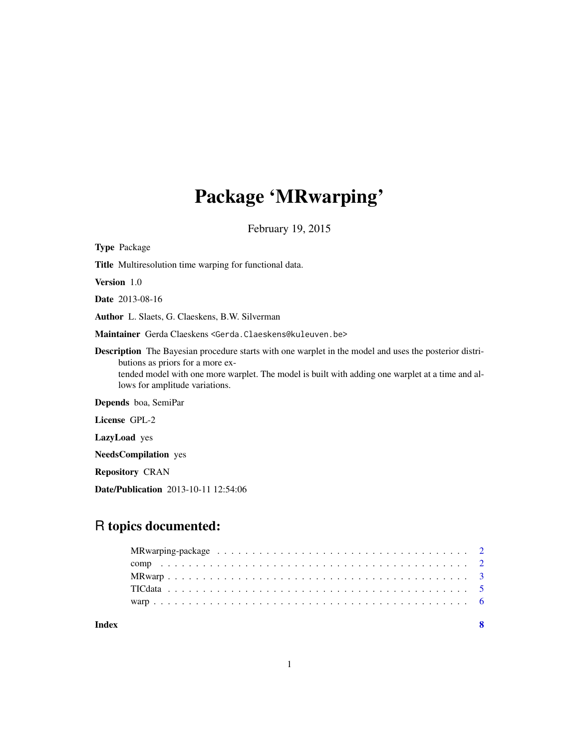# Package 'MRwarping'

February 19, 2015

| <b>Type Package</b>                                                                                                                                                                                                                                                                     |
|-----------------------------------------------------------------------------------------------------------------------------------------------------------------------------------------------------------------------------------------------------------------------------------------|
| <b>Title</b> Multiresolution time warping for functional data.                                                                                                                                                                                                                          |
| <b>Version</b> 1.0                                                                                                                                                                                                                                                                      |
| <b>Date</b> 2013-08-16                                                                                                                                                                                                                                                                  |
| <b>Author</b> L. Slaets, G. Claeskens, B.W. Silverman                                                                                                                                                                                                                                   |
| Maintainer Gerda Claeskens <gerda.claeskens@kuleuven.be></gerda.claeskens@kuleuven.be>                                                                                                                                                                                                  |
| <b>Description</b> The Bayesian procedure starts with one warplet in the model and uses the posterior distri-<br>butions as priors for a more ex-<br>tended model with one more warplet. The model is built with adding one warplet at a time and al-<br>lows for amplitude variations. |
| Depends boa, SemiPar                                                                                                                                                                                                                                                                    |
| License GPL-2                                                                                                                                                                                                                                                                           |
| <b>LazyLoad</b> yes                                                                                                                                                                                                                                                                     |
| <b>NeedsCompilation</b> yes                                                                                                                                                                                                                                                             |
| <b>Repository CRAN</b>                                                                                                                                                                                                                                                                  |

Date/Publication 2013-10-11 12:54:06

# R topics documented:

| Index |  |  |  |
|-------|--|--|--|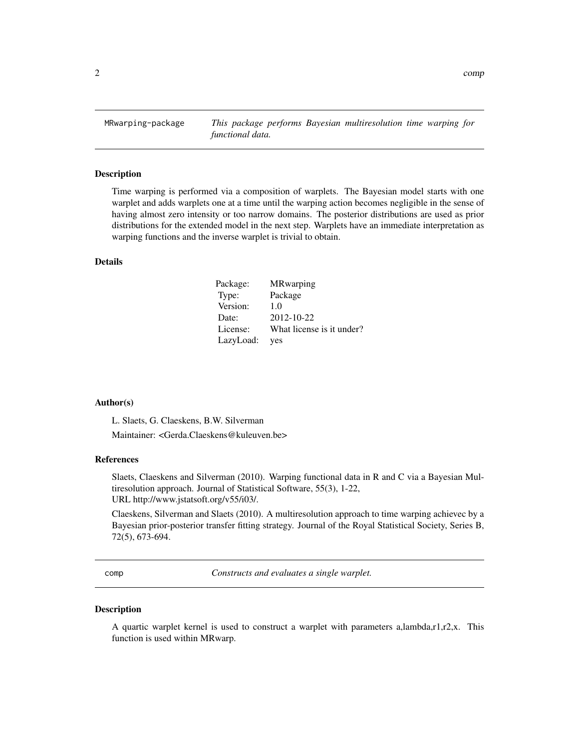<span id="page-1-0"></span>MRwarping-package *This package performs Bayesian multiresolution time warping for functional data.*

### Description

Time warping is performed via a composition of warplets. The Bayesian model starts with one warplet and adds warplets one at a time until the warping action becomes negligible in the sense of having almost zero intensity or too narrow domains. The posterior distributions are used as prior distributions for the extended model in the next step. Warplets have an immediate interpretation as warping functions and the inverse warplet is trivial to obtain.

### Details

| Package:  | <b>MR</b> warping         |
|-----------|---------------------------|
| Type:     | Package                   |
| Version:  | 1.0                       |
| Date:     | 2012-10-22                |
| License:  | What license is it under? |
| LazyLoad: | yes                       |

#### Author(s)

L. Slaets, G. Claeskens, B.W. Silverman

Maintainer: <Gerda.Claeskens@kuleuven.be>

#### References

Slaets, Claeskens and Silverman (2010). Warping functional data in R and C via a Bayesian Multiresolution approach. Journal of Statistical Software, 55(3), 1-22, URL http://www.jstatsoft.org/v55/i03/.

Claeskens, Silverman and Slaets (2010). A multiresolution approach to time warping achievec by a Bayesian prior-posterior transfer fitting strategy. Journal of the Royal Statistical Society, Series B, 72(5), 673-694.

comp *Constructs and evaluates a single warplet.*

# Description

A quartic warplet kernel is used to construct a warplet with parameters a,lambda,r1,r2,x. This function is used within MRwarp.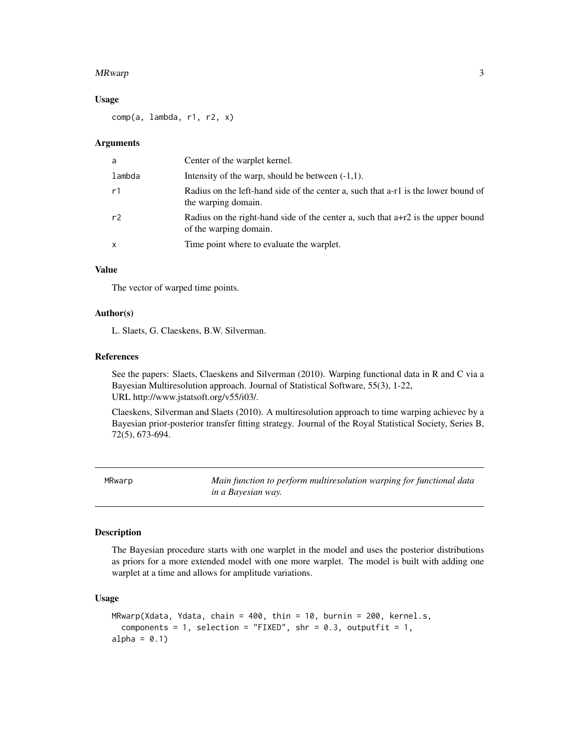#### <span id="page-2-0"></span>MRwarp 3

### Usage

comp(a, lambda, r1, r2, x)

#### Arguments

| a              | Center of the warplet kernel.                                                                                |
|----------------|--------------------------------------------------------------------------------------------------------------|
| lambda         | Intensity of the warp, should be between $(-1,1)$ .                                                          |
| r1             | Radius on the left-hand side of the center a, such that a-r1 is the lower bound of<br>the warping domain.    |
| r <sub>2</sub> | Radius on the right-hand side of the center a, such that $a+r2$ is the upper bound<br>of the warping domain. |
| X              | Time point where to evaluate the warplet.                                                                    |

# Value

The vector of warped time points.

# Author(s)

L. Slaets, G. Claeskens, B.W. Silverman.

### References

See the papers: Slaets, Claeskens and Silverman (2010). Warping functional data in R and C via a Bayesian Multiresolution approach. Journal of Statistical Software, 55(3), 1-22, URL http://www.jstatsoft.org/v55/i03/.

Claeskens, Silverman and Slaets (2010). A multiresolution approach to time warping achievec by a Bayesian prior-posterior transfer fitting strategy. Journal of the Royal Statistical Society, Series B, 72(5), 673-694.

MRwarp *Main function to perform multiresolution warping for functional data in a Bayesian way.*

#### Description

The Bayesian procedure starts with one warplet in the model and uses the posterior distributions as priors for a more extended model with one more warplet. The model is built with adding one warplet at a time and allows for amplitude variations.

# Usage

```
MRwarp(Xdata, Ydata, chain = 400, thin = 10, burnin = 200, kernel.s,
  components = 1, selection = "FIXED", shr = 0.3, outputfit = 1,
alpha = 0.1)
```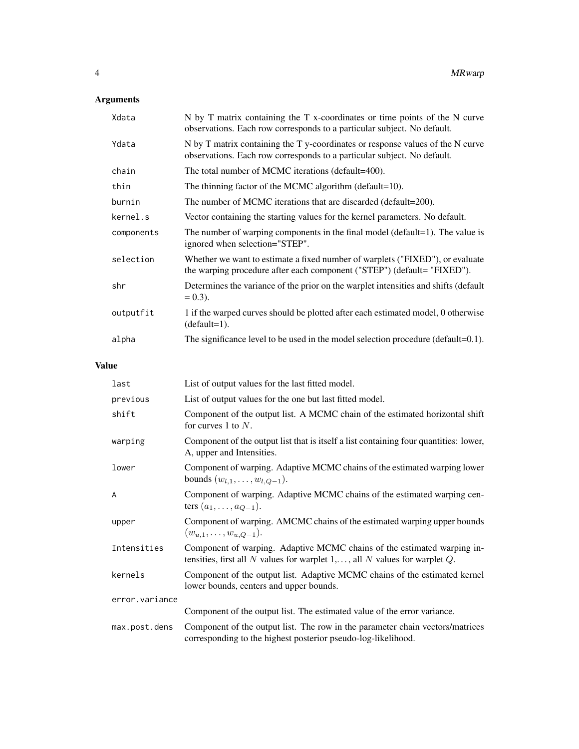# Arguments

| Xdata      | N by T matrix containing the T x-coordinates or time points of the N curve<br>observations. Each row corresponds to a particular subject. No default.     |
|------------|-----------------------------------------------------------------------------------------------------------------------------------------------------------|
| Ydata      | N by T matrix containing the T y-coordinates or response values of the N curve<br>observations. Each row corresponds to a particular subject. No default. |
| chain      | The total number of MCMC iterations (default=400).                                                                                                        |
| thin       | The thinning factor of the MCMC algorithm (default=10).                                                                                                   |
| burnin     | The number of MCMC iterations that are discarded (default=200).                                                                                           |
| kernel.s   | Vector containing the starting values for the kernel parameters. No default.                                                                              |
| components | The number of warping components in the final model (default=1). The value is<br>ignored when selection="STEP".                                           |
| selection  | Whether we want to estimate a fixed number of warplets ("FIXED"), or evaluate<br>the warping procedure after each component ("STEP") (default= "FIXED").  |
| shr        | Determines the variance of the prior on the warplet intensities and shifts (default<br>$= 0.3$ ).                                                         |
| outputfit  | 1 if the warped curves should be plotted after each estimated model, 0 otherwise<br>$(detault=1).$                                                        |
| alpha      | The significance level to be used in the model selection procedure (default=0.1).                                                                         |

# Value

| last           | List of output values for the last fitted model.                                                                                                                  |
|----------------|-------------------------------------------------------------------------------------------------------------------------------------------------------------------|
| previous       | List of output values for the one but last fitted model.                                                                                                          |
| shift          | Component of the output list. A MCMC chain of the estimated horizontal shift<br>for curves 1 to $N$ .                                                             |
| warping        | Component of the output list that is itself a list containing four quantities: lower,<br>A, upper and Intensities.                                                |
| lower          | Component of warping. Adaptive MCMC chains of the estimated warping lower<br>bounds $(w_{l,1}, \ldots, w_{l,Q-1})$ .                                              |
| A              | Component of warping. Adaptive MCMC chains of the estimated warping cen-<br>ters $(a_1, , a_{Q-1})$ .                                                             |
| upper          | Component of warping. AMCMC chains of the estimated warping upper bounds<br>$(w_{u,1},\ldots,w_{u,Q-1}).$                                                         |
| Intensities    | Component of warping. Adaptive MCMC chains of the estimated warping in-<br>tensities, first all N values for warplet $1, \ldots$ , all N values for warplet $Q$ . |
| kernels        | Component of the output list. Adaptive MCMC chains of the estimated kernel<br>lower bounds, centers and upper bounds.                                             |
| error.variance |                                                                                                                                                                   |
|                | Component of the output list. The estimated value of the error variance.                                                                                          |
| max.post.dens  | Component of the output list. The row in the parameter chain vectors/matrices<br>corresponding to the highest posterior pseudo-log-likelihood.                    |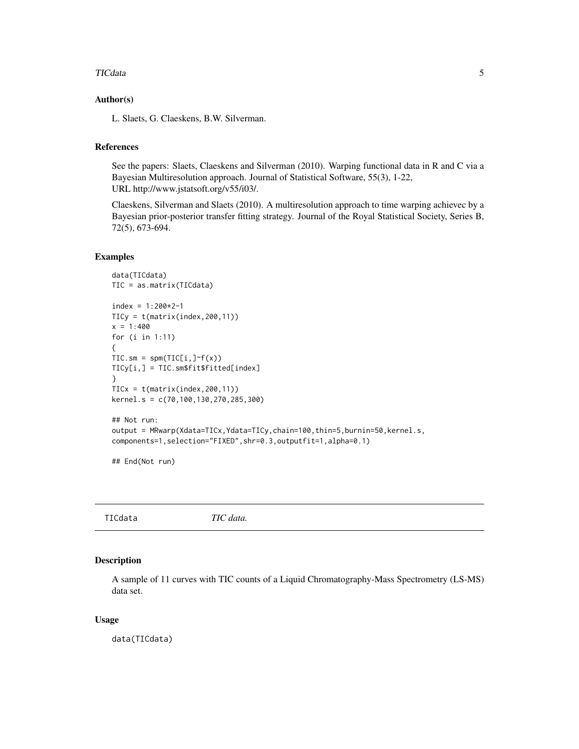#### <span id="page-4-0"></span>TICdata 5

# Author(s)

L. Slaets, G. Claeskens, B.W. Silverman.

# References

See the papers: Slaets, Claeskens and Silverman (2010). Warping functional data in R and C via a Bayesian Multiresolution approach. Journal of Statistical Software, 55(3), 1-22, URL http://www.jstatsoft.org/v55/i03/.

Claeskens, Silverman and Slaets (2010). A multiresolution approach to time warping achievec by a Bayesian prior-posterior transfer fitting strategy. Journal of the Royal Statistical Society, Series B, 72(5), 673-694.

### Examples

```
data(TICdata)
TIC = as.matrix(TICdata)
index = 1:200*2-1TICy = t(matrix(index,200,11))
x = 1:400for (i in 1:11)
{
TIC.sm = spm(TIC[i, ]<sup>~</sup>f(x))TICy[i,] = TIC.sm$fit$fitted[index]
}
TICx = t(matrix(index, 200, 11))kernel.s = c(70,100,130,270,285,300)
## Not run:
output = MRwarp(Xdata=TICx,Ydata=TICy,chain=100,thin=5,burnin=50,kernel.s,
components=1,selection="FIXED",shr=0.3,outputfit=1,alpha=0.1)
## End(Not run)
```
TICdata *TIC data.*

# Description

A sample of 11 curves with TIC counts of a Liquid Chromatography-Mass Spectrometry (LS-MS) data set.

# Usage

data(TICdata)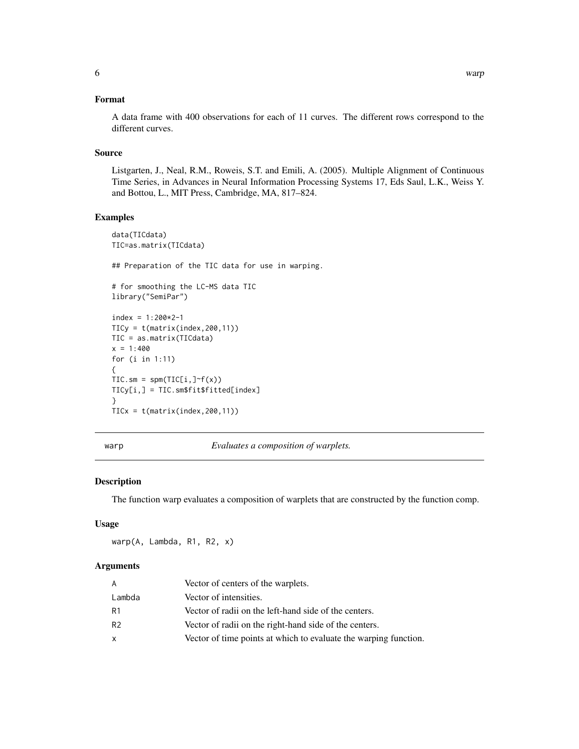# <span id="page-5-0"></span>Format

A data frame with 400 observations for each of 11 curves. The different rows correspond to the different curves.

# Source

Listgarten, J., Neal, R.M., Roweis, S.T. and Emili, A. (2005). Multiple Alignment of Continuous Time Series, in Advances in Neural Information Processing Systems 17, Eds Saul, L.K., Weiss Y. and Bottou, L., MIT Press, Cambridge, MA, 817–824.

# Examples

```
data(TICdata)
TIC=as.matrix(TICdata)
## Preparation of the TIC data for use in warping.
# for smoothing the LC-MS data TIC
library("SemiPar")
index = 1:200*2-1TICy = t(matrix(index,200,11))
TIC = as.matrix(TICdata)
x = 1:400for (i in 1:11)
{
TIC.sm = spm(TIC[i, ]<sup>~</sup>f(x))TICy[i,] = TIC.sm$fit$fitted[index]
}
TICx = t(matrix(index,200,11))
```
warp *Evaluates a composition of warplets.*

# Description

The function warp evaluates a composition of warplets that are constructed by the function comp.

### Usage

warp(A, Lambda, R1, R2, x)

#### Arguments

| A              | Vector of centers of the warplets.                               |
|----------------|------------------------------------------------------------------|
| Lambda         | Vector of intensities.                                           |
| R1             | Vector of radii on the left-hand side of the centers.            |
| R <sub>2</sub> | Vector of radii on the right-hand side of the centers.           |
| X              | Vector of time points at which to evaluate the warping function. |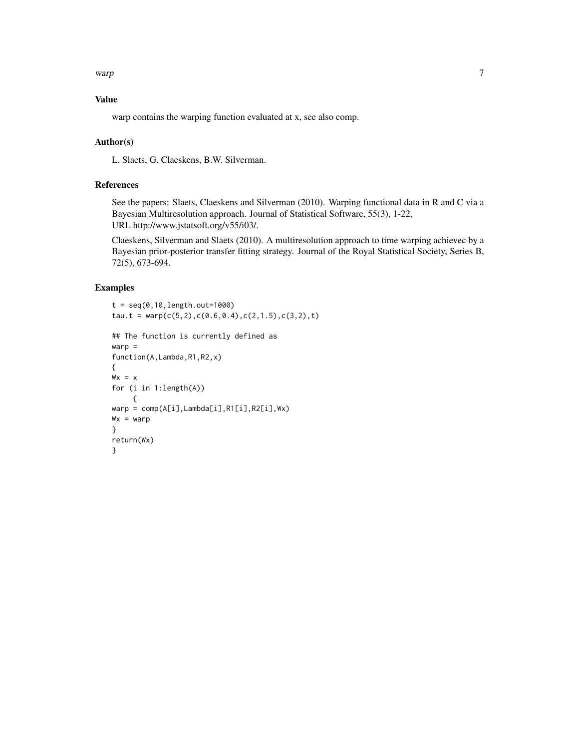warp 7 and 7 and 7 and 7 and 7 and 7 and 7 and 7 and 7 and 7 and 7 and 7 and 7 and 7 and 7 and 7 and 7 and 7 and 7 and 7 and 7 and 7 and 7 and 7 and 7 and 7 and 7 and 7 and 7 and 7 and 7 and 7 and 7 and 7 and 7 and 7 and 7

# Value

warp contains the warping function evaluated at x, see also comp.

# Author(s)

L. Slaets, G. Claeskens, B.W. Silverman.

# References

See the papers: Slaets, Claeskens and Silverman (2010). Warping functional data in R and C via a Bayesian Multiresolution approach. Journal of Statistical Software, 55(3), 1-22, URL http://www.jstatsoft.org/v55/i03/.

Claeskens, Silverman and Slaets (2010). A multiresolution approach to time warping achievec by a Bayesian prior-posterior transfer fitting strategy. Journal of the Royal Statistical Society, Series B, 72(5), 673-694.

# Examples

```
t = seq(0, 10, length.out = 1000)tau.t = warp(c(5,2),c(0.6,0.4),c(2,1.5),c(3,2),t)
## The function is currently defined as
warp =
function(A,Lambda,R1,R2,x)
{
Wx = xfor (i in 1:length(A))
     {
warp = comp(A[i],Lambda[i],R1[i],R2[i],Wx)
Wx = warp}
return(Wx)
}
```